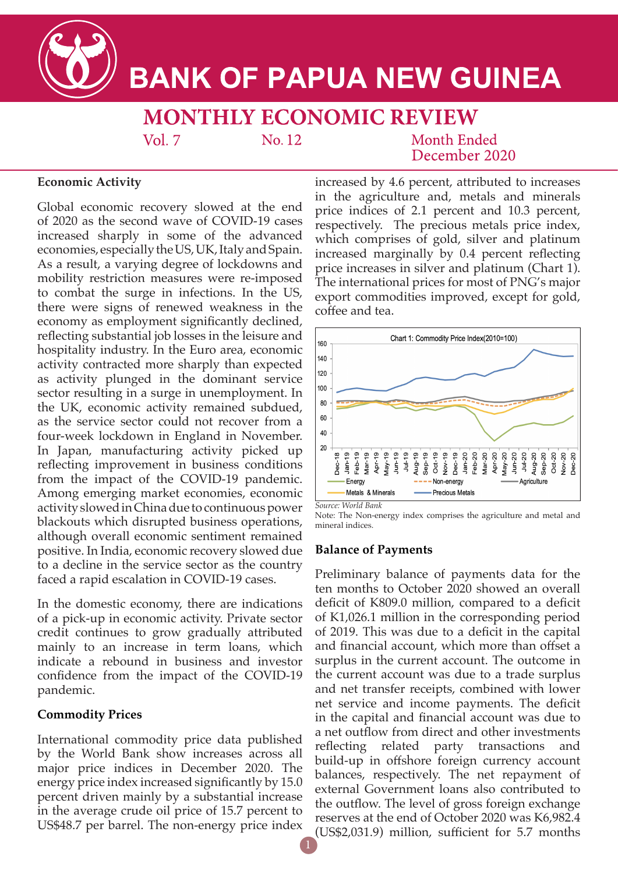

# **BANK OF PAPUA NEW GUINEA**

**MONTHLY ECONOMIC REVIEW** 

 $Vol. 7$ 

No. 12

## Month Ended December 2020

## **Economic Activity**

Global economic recovery slowed at the end of 2020 as the second wave of COVID-19 cases increased sharply in some of the advanced economies, especially the US, UK, Italy and Spain. As a result, a varying degree of lockdowns and mobility restriction measures were re-imposed to combat the surge in infections. In the US, there were signs of renewed weakness in the economy as employment significantly declined, reflecting substantial job losses in the leisure and hospitality industry. In the Euro area, economic activity contracted more sharply than expected as activity plunged in the dominant service sector resulting in a surge in unemployment. In the UK, economic activity remained subdued, as the service sector could not recover from a four-week lockdown in England in November. In Japan, manufacturing activity picked up reflecting improvement in business conditions from the impact of the COVID-19 pandemic. Among emerging market economies, economic activity slowed in China due to continuous power blackouts which disrupted business operations, although overall economic sentiment remained positive. In India, economic recovery slowed due to a decline in the service sector as the country faced a rapid escalation in COVID-19 cases.

In the domestic economy, there are indications of a pick-up in economic activity. Private sector credit continues to grow gradually attributed mainly to an increase in term loans, which indicate a rebound in business and investor confidence from the impact of the COVID-19 pandemic.

## **Commodity Prices**

International commodity price data published by the World Bank show increases across all major price indices in December 2020. The energy price index increased significantly by 15.0 percent driven mainly by a substantial increase in the average crude oil price of 15.7 percent to US\$48.7 per barrel. The non-energy price index increased by 4.6 percent, attributed to increases in the agriculture and, metals and minerals price indices of 2.1 percent and 10.3 percent, respectively. The precious metals price index, which comprises of gold, silver and platinum increased marginally by 0.4 percent reflecting price increases in silver and platinum (Chart 1). The international prices for most of PNG's major export commodities improved, except for gold, coffee and tea.



*Source: World Bank* 

Note: The Non-energy index comprises the agriculture and metal and mineral indices.

## **Balance of Payments**

Preliminary balance of payments data for the ten months to October 2020 showed an overall deficit of K809.0 million, compared to a deficit of K1,026.1 million in the corresponding period of 2019. This was due to a deficit in the capital and financial account, which more than offset a surplus in the current account. The outcome in the current account was due to a trade surplus and net transfer receipts, combined with lower net service and income payments. The deficit in the capital and financial account was due to a net outflow from direct and other investments reflecting related party transactions and build-up in offshore foreign currency account balances, respectively. The net repayment of external Government loans also contributed to the outflow. The level of gross foreign exchange reserves at the end of October 2020 was K6,982.4 (US\$2,031.9) million, sufficient for 5.7 months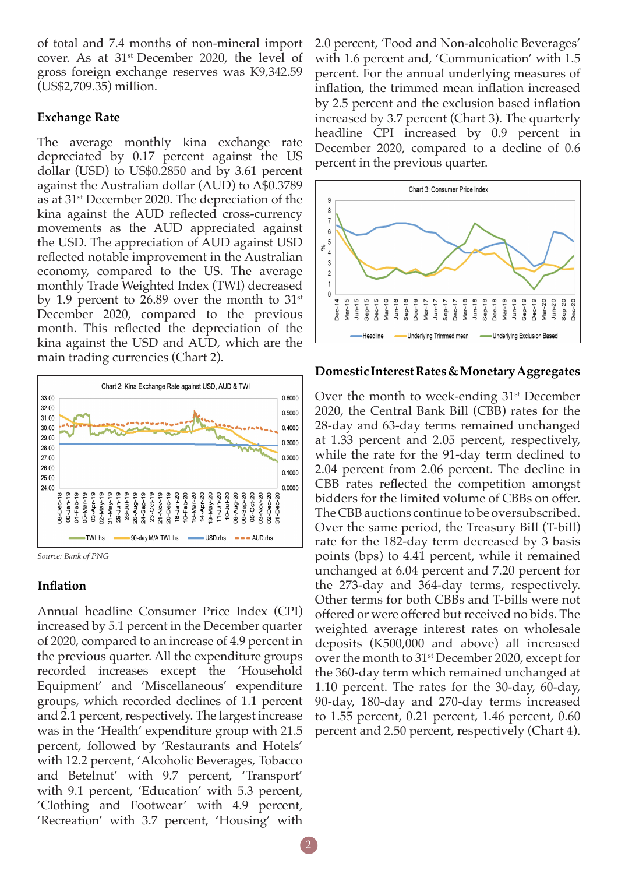of total and 7.4 months of non-mineral import cover. As at 31st December 2020, the level of gross foreign exchange reserves was K9,342.59 (US\$2,709.35) million.

#### **Exchange Rate**

The average monthly kina exchange rate depreciated by 0.17 percent against the US dollar (USD) to US\$0.2850 and by 3.61 percent against the Australian dollar (AUD) to A\$0.3789 as at 31st December 2020. The depreciation of the kina against the AUD reflected cross-currency movements as the AUD appreciated against the USD. The appreciation of AUD against USD reflected notable improvement in the Australian economy, compared to the US. The average monthly Trade Weighted Index (TWI) decreased by 1.9 percent to 26.89 over the month to  $31<sup>st</sup>$ December 2020, compared to the previous month. This reflected the depreciation of the kina against the USD and AUD, which are the main trading currencies (Chart 2).



*Source: Bank of PNG*

#### **Inflation**

Annual headline Consumer Price Index (CPI) increased by 5.1 percent in the December quarter of 2020, compared to an increase of 4.9 percent in the previous quarter. All the expenditure groups recorded increases except the 'Household Equipment' and 'Miscellaneous' expenditure groups, which recorded declines of 1.1 percent and 2.1 percent, respectively. The largest increase was in the 'Health' expenditure group with 21.5 percent, followed by 'Restaurants and Hotels' with 12.2 percent, 'Alcoholic Beverages, Tobacco and Betelnut' with 9.7 percent, 'Transport' with 9.1 percent, 'Education' with 5.3 percent, 'Clothing and Footwear' with 4.9 percent, 'Recreation' with 3.7 percent, 'Housing' with

2.0 percent, 'Food and Non-alcoholic Beverages' with 1.6 percent and, 'Communication' with 1.5 percent. For the annual underlying measures of inflation, the trimmed mean inflation increased by 2.5 percent and the exclusion based inflation increased by 3.7 percent (Chart 3). The quarterly headline CPI increased by 0.9 percent in December 2020, compared to a decline of 0.6 percent in the previous quarter.



#### **Domestic Interest Rates & Monetary Aggregates**

Over the month to week-ending 31<sup>st</sup> December 2020, the Central Bank Bill (CBB) rates for the 28-day and 63-day terms remained unchanged at 1.33 percent and 2.05 percent, respectively, while the rate for the 91-day term declined to 2.04 percent from 2.06 percent. The decline in CBB rates reflected the competition amongst bidders for the limited volume of CBBs on offer. The CBB auctions continue to be oversubscribed. Over the same period, the Treasury Bill (T-bill) rate for the 182-day term decreased by 3 basis points (bps) to 4.41 percent, while it remained unchanged at 6.04 percent and 7.20 percent for the 273-day and 364-day terms, respectively. Other terms for both CBBs and T-bills were not offered or were offered but received no bids. The weighted average interest rates on wholesale deposits (K500,000 and above) all increased over the month to 31<sup>st</sup> December 2020, except for the 360-day term which remained unchanged at 1.10 percent. The rates for the 30-day, 60-day, 90-day, 180-day and 270-day terms increased to 1.55 percent, 0.21 percent, 1.46 percent, 0.60 percent and 2.50 percent, respectively (Chart 4).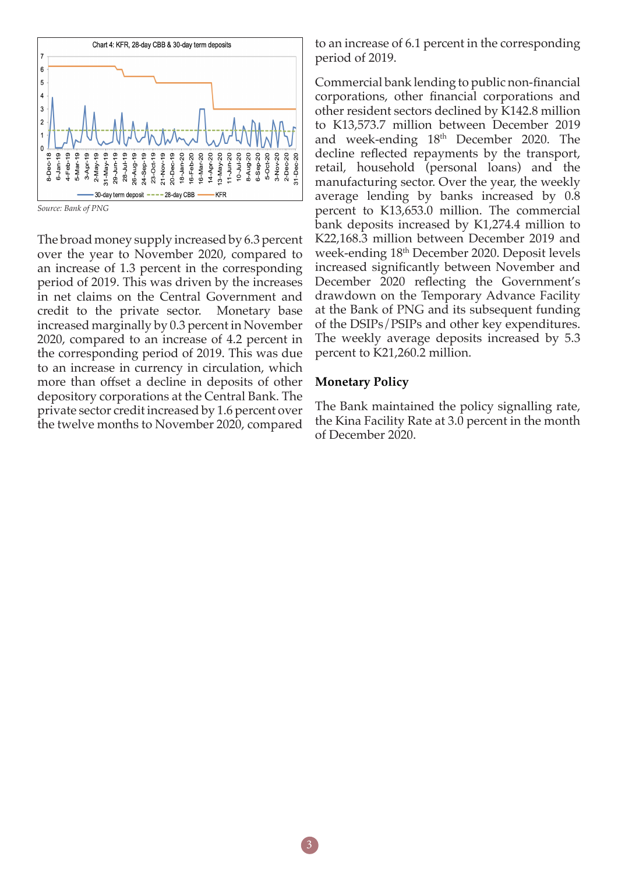

*Source: Bank of PNG*

The broad money supply increased by 6.3 percent over the year to November 2020, compared to an increase of 1.3 percent in the corresponding period of 2019. This was driven by the increases in net claims on the Central Government and credit to the private sector. Monetary base increased marginally by 0.3 percent in November 2020, compared to an increase of 4.2 percent in the corresponding period of 2019. This was due to an increase in currency in circulation, which more than offset a decline in deposits of other depository corporations at the Central Bank. The private sector credit increased by 1.6 percent over the twelve months to November 2020, compared

to an increase of 6.1 percent in the corresponding period of 2019.

Commercial bank lending to public non-financial corporations, other financial corporations and other resident sectors declined by K142.8 million to K13,573.7 million between December 2019 and week-ending  $18<sup>th</sup>$  December 2020. The decline reflected repayments by the transport, retail, household (personal loans) and the manufacturing sector. Over the year, the weekly average lending by banks increased by 0.8 percent to K13,653.0 million. The commercial bank deposits increased by K1,274.4 million to K22,168.3 million between December 2019 and week-ending 18th December 2020. Deposit levels increased significantly between November and December 2020 reflecting the Government's drawdown on the Temporary Advance Facility at the Bank of PNG and its subsequent funding of the DSIPs/PSIPs and other key expenditures. The weekly average deposits increased by 5.3 percent to K21,260.2 million.

#### **Monetary Policy**

The Bank maintained the policy signalling rate, the Kina Facility Rate at 3.0 percent in the month of December 2020.